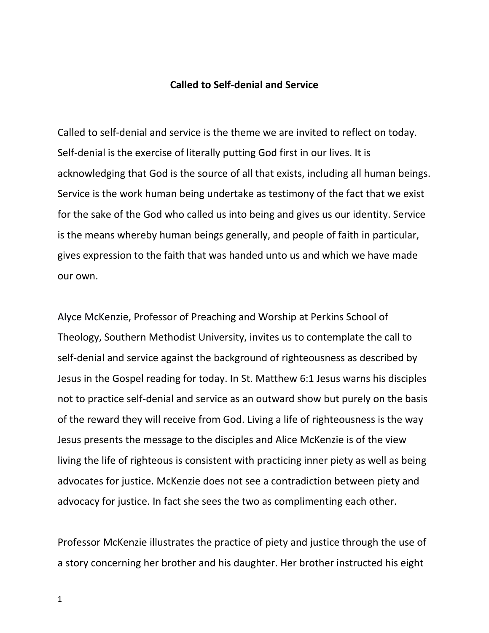## **Called to Self-denial and Service**

Called to self-denial and service is the theme we are invited to reflect on today. Self-denial is the exercise of literally putting God first in our lives. It is acknowledging that God is the source of all that exists, including all human beings. Service is the work human being undertake as testimony of the fact that we exist for the sake of the God who called us into being and gives us our identity. Service is the means whereby human beings generally, and people of faith in particular, gives expression to the faith that was handed unto us and which we have made our own.

[Alyce McKenzie,](http://experts.patheos.com/expert/alycemckenzie/about/) Professor of Preaching and Worship at Perkins School of Theology, Southern Methodist University, invites us to contemplate the call to self-denial and service against the background of righteousness as described by Jesus in the Gospel reading for today. In St. Matthew 6:1 Jesus warns his disciples not to practice self-denial and service as an outward show but purely on the basis of the reward they will receive from God. Living a life of righteousness is the way Jesus presents the message to the disciples and Alice McKenzie is of the view living the life of righteous is consistent with practicing inner piety as well as being advocates for justice. McKenzie does not see a contradiction between piety and advocacy for justice. In fact she sees the two as complimenting each other.

Professor McKenzie illustrates the practice of piety and justice through the use of a story concerning her brother and his daughter. Her brother instructed his eight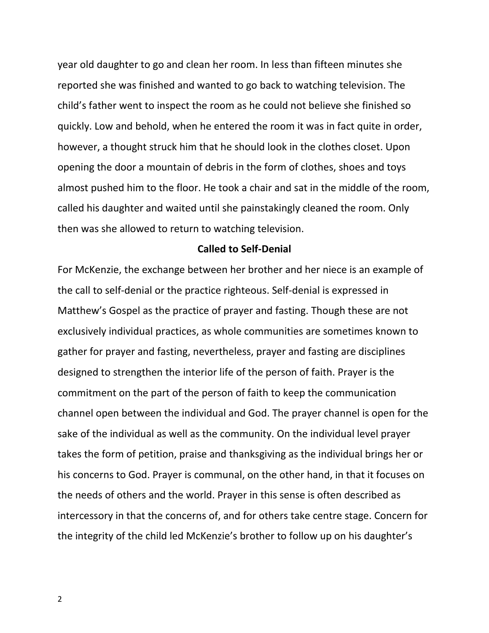year old daughter to go and clean her room. In less than fifteen minutes she reported she was finished and wanted to go back to watching television. The child's father went to inspect the room as he could not believe she finished so quickly. Low and behold, when he entered the room it was in fact quite in order, however, a thought struck him that he should look in the clothes closet. Upon opening the door a mountain of debris in the form of clothes, shoes and toys almost pushed him to the floor. He took a chair and sat in the middle of the room, called his daughter and waited until she painstakingly cleaned the room. Only then was she allowed to return to watching television.

## **Called to Self-Denial**

For McKenzie, the exchange between her brother and her niece is an example of the call to self-denial or the practice righteous. Self-denial is expressed in Matthew's Gospel as the practice of prayer and fasting. Though these are not exclusively individual practices, as whole communities are sometimes known to gather for prayer and fasting, nevertheless, prayer and fasting are disciplines designed to strengthen the interior life of the person of faith. Prayer is the commitment on the part of the person of faith to keep the communication channel open between the individual and God. The prayer channel is open for the sake of the individual as well as the community. On the individual level prayer takes the form of petition, praise and thanksgiving as the individual brings her or his concerns to God. Prayer is communal, on the other hand, in that it focuses on the needs of others and the world. Prayer in this sense is often described as intercessory in that the concerns of, and for others take centre stage. Concern for the integrity of the child led McKenzie's brother to follow up on his daughter's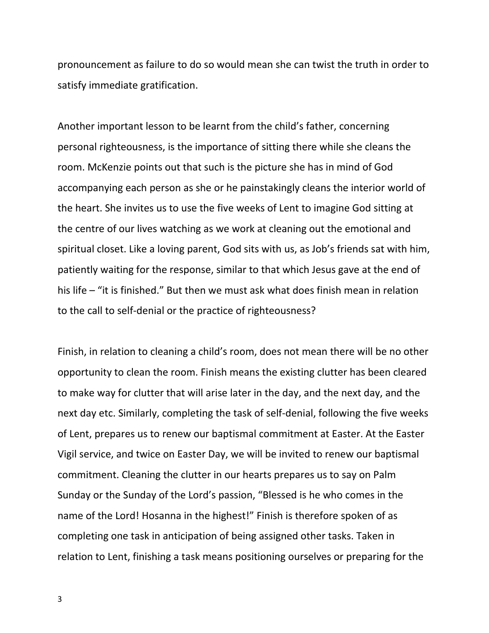pronouncement as failure to do so would mean she can twist the truth in order to satisfy immediate gratification.

Another important lesson to be learnt from the child's father, concerning personal righteousness, is the importance of sitting there while she cleans the room. McKenzie points out that such is the picture she has in mind of God accompanying each person as she or he painstakingly cleans the interior world of the heart. She invites us to use the five weeks of Lent to imagine God sitting at the centre of our lives watching as we work at cleaning out the emotional and spiritual closet. Like a loving parent, God sits with us, as Job's friends sat with him, patiently waiting for the response, similar to that which Jesus gave at the end of his life – "it is finished." But then we must ask what does finish mean in relation to the call to self-denial or the practice of righteousness?

Finish, in relation to cleaning a child's room, does not mean there will be no other opportunity to clean the room. Finish means the existing clutter has been cleared to make way for clutter that will arise later in the day, and the next day, and the next day etc. Similarly, completing the task of self-denial, following the five weeks of Lent, prepares us to renew our baptismal commitment at Easter. At the Easter Vigil service, and twice on Easter Day, we will be invited to renew our baptismal commitment. Cleaning the clutter in our hearts prepares us to say on Palm Sunday or the Sunday of the Lord's passion, "Blessed is he who comes in the name of the Lord! Hosanna in the highest!" Finish is therefore spoken of as completing one task in anticipation of being assigned other tasks. Taken in relation to Lent, finishing a task means positioning ourselves or preparing for the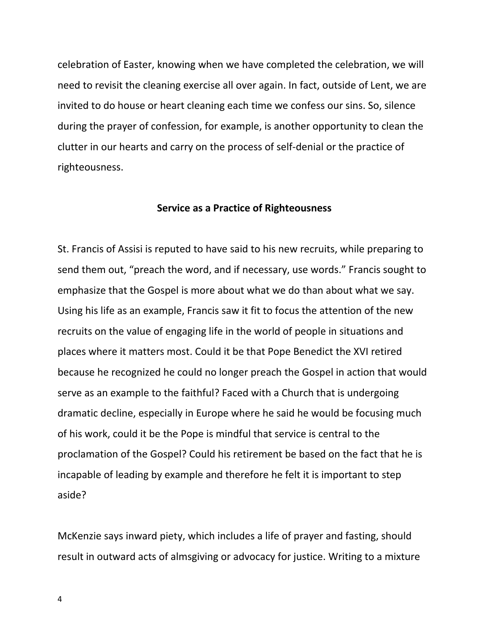celebration of Easter, knowing when we have completed the celebration, we will need to revisit the cleaning exercise all over again. In fact, outside of Lent, we are invited to do house or heart cleaning each time we confess our sins. So, silence during the prayer of confession, for example, is another opportunity to clean the clutter in our hearts and carry on the process of self-denial or the practice of righteousness.

## **Service as a Practice of Righteousness**

St. Francis of Assisi is reputed to have said to his new recruits, while preparing to send them out, "preach the word, and if necessary, use words." Francis sought to emphasize that the Gospel is more about what we do than about what we say. Using his life as an example, Francis saw it fit to focus the attention of the new recruits on the value of engaging life in the world of people in situations and places where it matters most. Could it be that Pope Benedict the XVI retired because he recognized he could no longer preach the Gospel in action that would serve as an example to the faithful? Faced with a Church that is undergoing dramatic decline, especially in Europe where he said he would be focusing much of his work, could it be the Pope is mindful that service is central to the proclamation of the Gospel? Could his retirement be based on the fact that he is incapable of leading by example and therefore he felt it is important to step aside?

McKenzie says inward piety, which includes a life of prayer and fasting, should result in outward acts of almsgiving or advocacy for justice. Writing to a mixture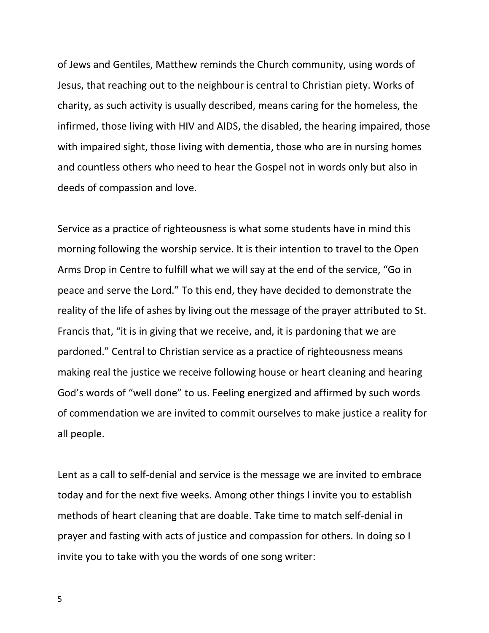of Jews and Gentiles, Matthew reminds the Church community, using words of Jesus, that reaching out to the neighbour is central to Christian piety. Works of charity, as such activity is usually described, means caring for the homeless, the infirmed, those living with HIV and AIDS, the disabled, the hearing impaired, those with impaired sight, those living with dementia, those who are in nursing homes and countless others who need to hear the Gospel not in words only but also in deeds of compassion and love.

Service as a practice of righteousness is what some students have in mind this morning following the worship service. It is their intention to travel to the Open Arms Drop in Centre to fulfill what we will say at the end of the service, "Go in peace and serve the Lord." To this end, they have decided to demonstrate the reality of the life of ashes by living out the message of the prayer attributed to St. Francis that, "it is in giving that we receive, and, it is pardoning that we are pardoned." Central to Christian service as a practice of righteousness means making real the justice we receive following house or heart cleaning and hearing God's words of "well done" to us. Feeling energized and affirmed by such words of commendation we are invited to commit ourselves to make justice a reality for all people.

Lent as a call to self-denial and service is the message we are invited to embrace today and for the next five weeks. Among other things I invite you to establish methods of heart cleaning that are doable. Take time to match self-denial in prayer and fasting with acts of justice and compassion for others. In doing so I invite you to take with you the words of one song writer: